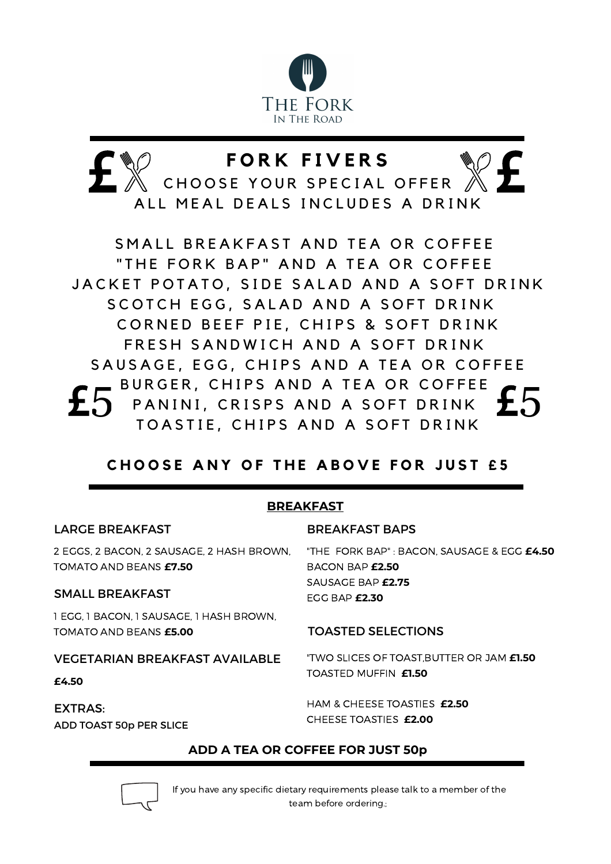

# **F O R K F I V E R S**

CHOOSE YOUR SPECIAL OFFER ALL MEAL DEALS INCLUDES A DRINK

SMALL BREAKFAST AND TEA OR COFFEE "THE FORK BAP" AND A TEA OR COFFEE JACKET POTATO, SIDE SALAD AND A SOFT DRINK SCOTCH EGG, SALAD AND A SOFT DRINK CORNED BEEF PIE, CHIPS & SOFT DRINK FRESH SANDWICH AND A SOFT DRINK SAUSAGE, EGG, CHIPS AND A TEA OR COFFEE BURGER, CHIPS AND A TEA OR COFFEE PANINI, CRISPS AND A SOFT DRINK TOASTIE, CHIPS AND A SOFT DRINK

# **CHOOSE ANY OF THE ABOVE FOR JUST £5**

### **BREAKFAST**

LARGE BREAKFAST 2 EGGS, 2 BACON, 2 SAUSAGE, 2 HASH BROWN, TOMATO AND BEANS **£7.50** SMALL BREAKFAST 1 EGG, 1 BACON, 1 SAUSAGE, 1 HASH BROWN, TOMATO AND BEANS **£5.00** VEGETARIAN BREAKFAST AVAILABLE **£4.50** EXTRAS: ADD TOAST 50p PER SLICE BREAKFAST BAPS "THE FORK BAP" : BACON, SAUSAGE & EGG **£4.50** BACON BAP **£2.50** SAUSAGE BAP **£2.75** EGG BAP **£2.30** TOASTED SELECTIONS "TWO SLICES OF TOAST,BUTTER OR JAM **£1.50** TOASTED MUFFIN **£1.50** HAM & CHEESE TOASTIES **£2.50** CHEESE TOASTIES **£2.00**

## **ADD A TEA OR COFFEE FOR JUST 50p**